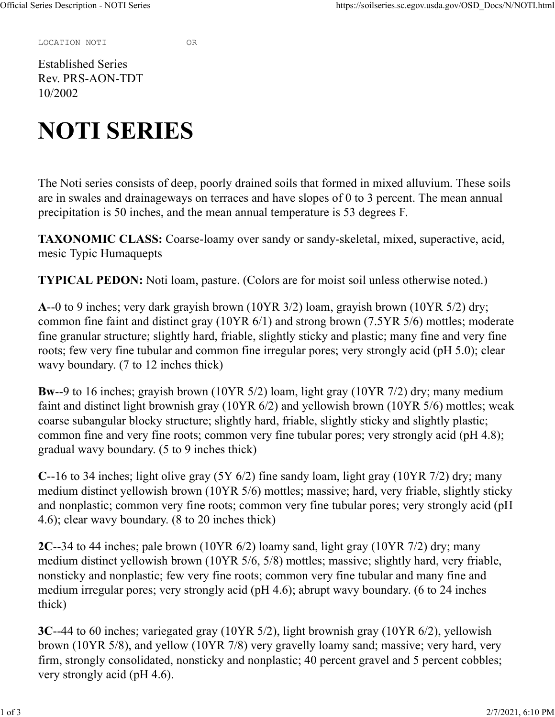LOCATION NOTI OR

Established Series Rev. PRS-AON-TDT 10/2002

## NOTI SERIES

The Noti series consists of deep, poorly drained soils that formed in mixed alluvium. These soils are in swales and drainageways on terraces and have slopes of 0 to 3 percent. The mean annual precipitation is 50 inches, and the mean annual temperature is 53 degrees F.

TAXONOMIC CLASS: Coarse-loamy over sandy or sandy-skeletal, mixed, superactive, acid, mesic Typic Humaquepts

TYPICAL PEDON: Noti loam, pasture. (Colors are for moist soil unless otherwise noted.)

A--0 to 9 inches; very dark grayish brown (10YR 3/2) loam, grayish brown (10YR 5/2) dry; common fine faint and distinct gray (10YR 6/1) and strong brown (7.5YR 5/6) mottles; moderate fine granular structure; slightly hard, friable, slightly sticky and plastic; many fine and very fine roots; few very fine tubular and common fine irregular pores; very strongly acid (pH 5.0); clear wavy boundary. (7 to 12 inches thick)

Bw--9 to 16 inches; grayish brown (10YR 5/2) loam, light gray (10YR 7/2) dry; many medium faint and distinct light brownish gray (10YR 6/2) and yellowish brown (10YR 5/6) mottles; weak coarse subangular blocky structure; slightly hard, friable, slightly sticky and slightly plastic; common fine and very fine roots; common very fine tubular pores; very strongly acid (pH 4.8); gradual wavy boundary. (5 to 9 inches thick)

C--16 to 34 inches; light olive gray (5Y 6/2) fine sandy loam, light gray (10YR 7/2) dry; many medium distinct yellowish brown (10YR 5/6) mottles; massive; hard, very friable, slightly sticky and nonplastic; common very fine roots; common very fine tubular pores; very strongly acid (pH 4.6); clear wavy boundary. (8 to 20 inches thick)

2C--34 to 44 inches; pale brown (10YR 6/2) loamy sand, light gray (10YR 7/2) dry; many medium distinct yellowish brown (10YR 5/6, 5/8) mottles; massive; slightly hard, very friable, nonsticky and nonplastic; few very fine roots; common very fine tubular and many fine and medium irregular pores; very strongly acid (pH 4.6); abrupt wavy boundary. (6 to 24 inches thick)

3C--44 to 60 inches; variegated gray (10YR 5/2), light brownish gray (10YR 6/2), yellowish brown (10YR 5/8), and yellow (10YR 7/8) very gravelly loamy sand; massive; very hard, very firm, strongly consolidated, nonsticky and nonplastic; 40 percent gravel and 5 percent cobbles; very strongly acid (pH 4.6).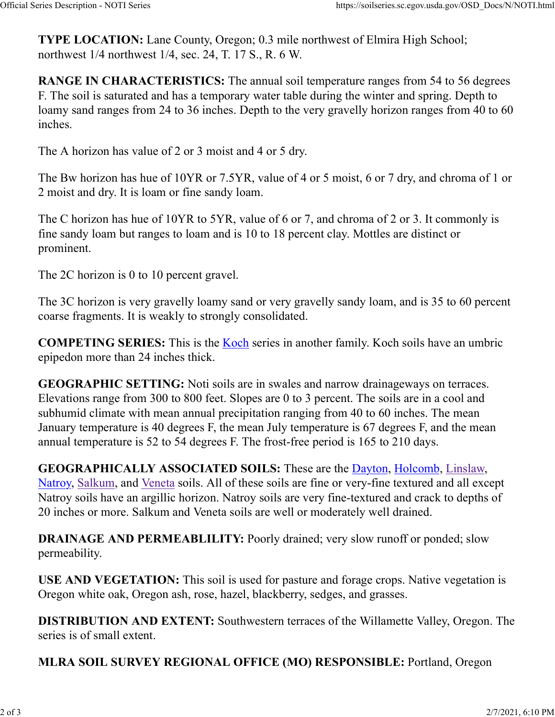TYPE LOCATION: Lane County, Oregon; 0.3 mile northwest of Elmira High School; northwest 1/4 northwest 1/4, sec. 24, T. 17 S., R. 6 W. Official Series Description - NOTI Series https://soilseries.sc.egov.usda.gov/OSD\_Docs/N/NOTI.html<br> **TYPE LOCATION:** Lane County, Oregon; 0.3 mile northwest of Elmira High School;<br>
northwest 1/4 northwest 1/4, sec. 24, T.

RANGE IN CHARACTERISTICS: The annual soil temperature ranges from 54 to 56 degrees F. The soil is saturated and has a temporary water table during the winter and spring. Depth to loamy sand ranges from 24 to 36 inches. Depth to the very gravelly horizon ranges from 40 to 60 inches.

The A horizon has value of 2 or 3 moist and 4 or 5 dry.

The Bw horizon has hue of 10YR or 7.5YR, value of 4 or 5 moist, 6 or 7 dry, and chroma of 1 or 2 moist and dry. It is loam or fine sandy loam.

The C horizon has hue of 10YR to 5YR, value of 6 or 7, and chroma of 2 or 3. It commonly is fine sandy loam but ranges to loam and is 10 to 18 percent clay. Mottles are distinct or prominent.

The 2C horizon is 0 to 10 percent gravel.

The 3C horizon is very gravelly loamy sand or very gravelly sandy loam, and is 35 to 60 percent coarse fragments. It is weakly to strongly consolidated.

COMPETING SERIES: This is the **Koch** series in another family. Koch soils have an umbric epipedon more than 24 inches thick.

GEOGRAPHIC SETTING: Noti soils are in swales and narrow drainageways on terraces. Elevations range from 300 to 800 feet. Slopes are 0 to 3 percent. The soils are in a cool and subhumid climate with mean annual precipitation ranging from 40 to 60 inches. The mean January temperature is 40 degrees F, the mean July temperature is 67 degrees F, and the mean annual temperature is 52 to 54 degrees F. The frost-free period is 165 to 210 days.

GEOGRAPHICALLY ASSOCIATED SOILS: These are the Dayton, Holcomb, Linslaw, Natroy, Salkum, and Veneta soils. All of these soils are fine or very-fine textured and all except Natroy soils have an argillic horizon. Natroy soils are very fine-textured and crack to depths of 20 inches or more. Salkum and Veneta soils are well or moderately well drained.

DRAINAGE AND PERMEABLILITY: Poorly drained; very slow runoff or ponded; slow permeability.

USE AND VEGETATION: This soil is used for pasture and forage crops. Native vegetation is Oregon white oak, Oregon ash, rose, hazel, blackberry, sedges, and grasses.

DISTRIBUTION AND EXTENT: Southwestern terraces of the Willamette Valley, Oregon. The series is of small extent.

MLRA SOIL SURVEY REGIONAL OFFICE (MO) RESPONSIBLE: Portland, Oregon